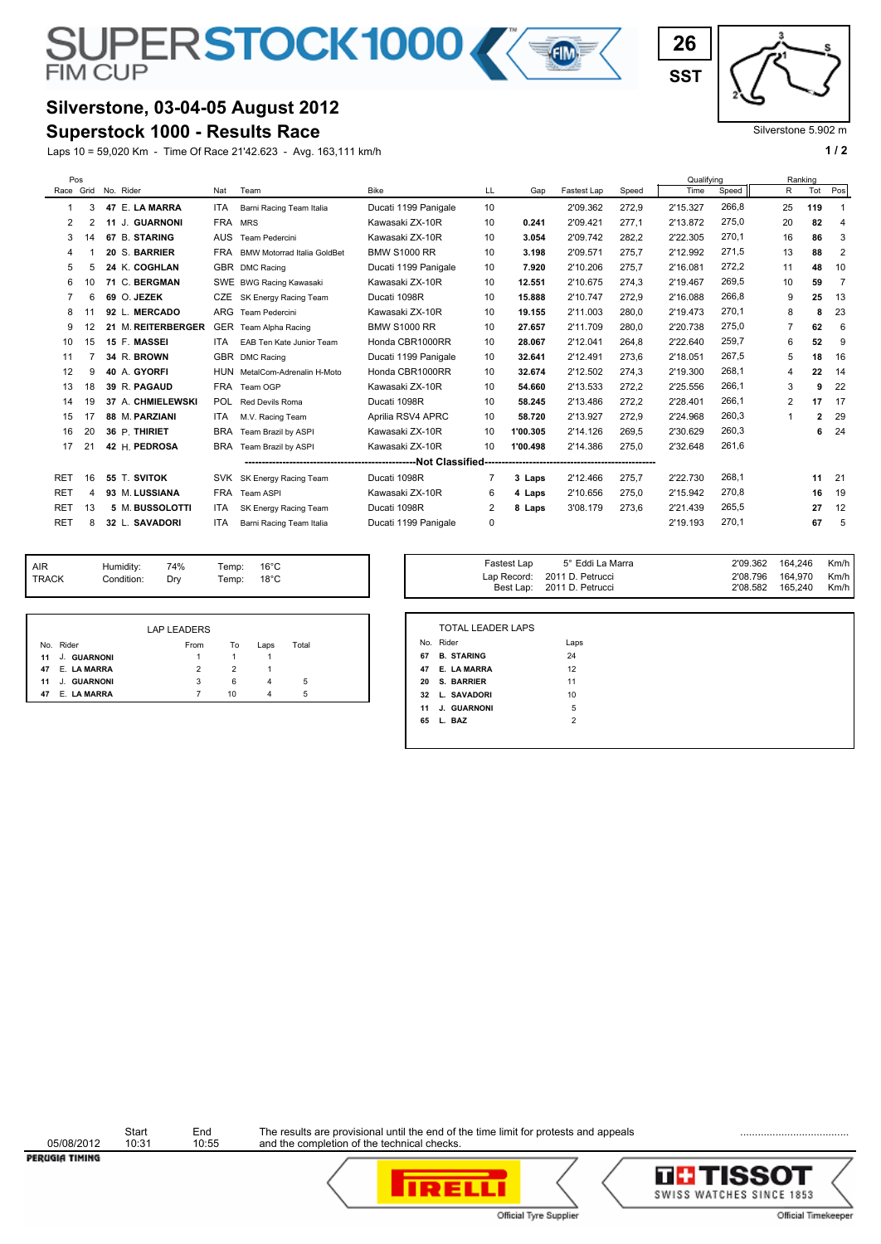# SUPERSTOCK1000 K

# **Silverstone, 03-04-05 August 2012**

### **Superstock 1000 - Results Race**

Laps 10 = 59,020 Km - Time Of Race 21'42.623 - Avg. 163,111 km/h **1 and 2 1 and 2 1 a 1 a 1 a 1 a 1 a 1 a 1 a 1 a 1 a 1 a 1 a 1 a 1 a 1 a 1 a 1 a 1 a 1 a 1 a 1 a 1 a 1 a 1 a** 

| 26         |  |
|------------|--|
| <b>SST</b> |  |

#### Silverstone 5.902 m

| Pos        |    |           |                    |            |                                    |                      |    |          |             |       | Qualifving |       | Ranking        |              |                |
|------------|----|-----------|--------------------|------------|------------------------------------|----------------------|----|----------|-------------|-------|------------|-------|----------------|--------------|----------------|
| Race Grid  |    | No. Rider |                    | Nat        | Team                               | Bike                 | LL | Gap      | Fastest Lap | Speed | Time       | Speed | R              | Tot          | Pos            |
| 1          | 3  |           | 47 E. LA MARRA     | ITA        | Barni Racing Team Italia           | Ducati 1199 Panigale | 10 |          | 2'09.362    | 272,9 | 2'15.327   | 266.8 | 25             | 119          |                |
| 2          |    |           | 11 J. GUARNONI     | FRA MRS    |                                    | Kawasaki ZX-10R      | 10 | 0.241    | 2'09.421    | 277,1 | 2'13.872   | 275.0 | 20             | 82           | $\overline{4}$ |
| 3          | 14 |           | 67 B. STARING      | <b>AUS</b> | Team Pedercini                     | Kawasaki ZX-10R      | 10 | 3.054    | 2'09.742    | 282.2 | 2'22.305   | 270,1 | 16             | 86           | 3              |
| 4          |    |           | 20 S. BARRIER      | <b>FRA</b> | <b>BMW Motorrad Italia GoldBet</b> | <b>BMW S1000 RR</b>  | 10 | 3.198    | 2'09.571    | 275.7 | 2'12.992   | 271,5 | 13             | 88           | 2              |
| 5          |    |           | 24 K. COGHLAN      |            | GBR DMC Racing                     | Ducati 1199 Panigale | 10 | 7.920    | 2'10.206    | 275.7 | 2'16.081   | 272.2 | 11             | 48           | 10             |
| 6          |    |           | 71 C. BERGMAN      |            | SWE BWG Racing Kawasaki            | Kawasaki ZX-10R      | 10 | 12.551   | 2'10.675    | 274.3 | 2'19.467   | 269,5 | 10             | 59           | $\overline{7}$ |
|            | 6  |           | 69 O. JEZEK        | <b>CZE</b> | SK Energy Racing Team              | Ducati 1098R         | 10 | 15.888   | 2'10.747    | 272,9 | 2'16.088   | 266.8 | 9              | 25           | 13             |
| 8          |    |           | 92 L. MERCADO      |            | ARG Team Pedercini                 | Kawasaki ZX-10R      | 10 | 19.155   | 2'11.003    | 280.0 | 2'19.473   | 270,1 | 8              | 8            | 23             |
| 9          | 12 |           | 21 M. REITERBERGER | <b>GER</b> | Team Alpha Racing                  | <b>BMW S1000 RR</b>  | 10 | 27.657   | 2'11.709    | 280.0 | 2'20.738   | 275,0 | $\overline{7}$ | 62           | 6              |
| 10         | 15 |           | 15 F. MASSEI       | <b>ITA</b> | EAB Ten Kate Junior Team           | Honda CBR1000RR      | 10 | 28.067   | 2'12.041    | 264.8 | 2'22.640   | 259,7 | 6              | 52           | 9              |
| 11         |    |           | 34 R. BROWN        |            | GBR DMC Racing                     | Ducati 1199 Panigale | 10 | 32.641   | 2'12.491    | 273,6 | 2'18.051   | 267,5 | 5              | 18           | 16             |
| 12         | 9  |           | 40 A. GYORFI       |            | HUN MetalCom-Adrenalin H-Moto      | Honda CBR1000RR      | 10 | 32.674   | 2'12.502    | 274,3 | 2'19.300   | 268.1 | 4              | 22           | 14             |
| 13         | 18 |           | 39 R. PAGAUD       |            | FRA Team OGP                       | Kawasaki ZX-10R      | 10 | 54.660   | 2'13.533    | 272,2 | 2'25.556   | 266,1 | 3              | 9            | 22             |
| 14         | 19 |           | 37 A. CHMIELEWSKI  | POL.       | Red Devils Roma                    | Ducati 1098R         | 10 | 58.245   | 2'13.486    | 272,2 | 2'28.401   | 266,1 | $\overline{2}$ | 17           | 17             |
| 15         | 17 |           | 88 M. PARZIANI     | ITA        | M.V. Racing Team                   | Aprilia RSV4 APRC    | 10 | 58.720   | 2'13.927    | 272.9 | 2'24.968   | 260,3 | 1              | $\mathbf{2}$ | 29             |
| 16         | 20 |           | 36 P. THIRIET      | <b>BRA</b> | Team Brazil by ASPI                | Kawasaki ZX-10R      | 10 | 1'00.305 | 2'14.126    | 269.5 | 2'30.629   | 260,3 |                | 6            | 24             |
| 17         | 21 |           | 42 H. PEDROSA      | <b>BRA</b> | Team Brazil by ASPI                | Kawasaki ZX-10R      | 10 | 1'00.498 | 2'14.386    | 275,0 | 2'32.648   | 261.6 |                |              |                |
|            |    |           |                    |            |                                    |                      |    |          |             |       |            |       |                |              |                |
| <b>RET</b> | 16 |           | 55 T. SVITOK       | <b>SVK</b> | SK Energy Racing Team              | Ducati 1098R         |    | 3 Laps   | 2'12.466    | 275,7 | 2'22.730   | 268.1 |                | 11           | 21             |
| <b>RET</b> | Δ  |           | 93 M. LUSSIANA     | <b>FRA</b> | Team ASPI                          | Kawasaki ZX-10R      | 6  | 4 Laps   | 2'10.656    | 275.0 | 2'15.942   | 270,8 |                | 16           | 19             |
| <b>RET</b> | 13 |           | 5 M. BUSSOLOTTI    | <b>ITA</b> | SK Energy Racing Team              | Ducati 1098R         | 2  | 8 Laps   | 3'08.179    | 273,6 | 2'21.439   | 265,5 |                | 27           | 12             |
| <b>RET</b> | 8  |           | 32 L. SAVADORI     | <b>ITA</b> | Barni Racing Team Italia           | Ducati 1199 Panigale | 0  |          |             |       | 2'19.193   | 270,1 |                | 67           | 5              |
|            |    |           |                    |            |                                    |                      |    |          |             |       |            |       |                |              |                |

| <b>AIR</b><br>74%<br>Humidity:<br>$16^{\circ}$ C<br>Temp:<br><b>TRACK</b><br>Temp: $18^{\circ}$ C<br>Condition:<br>Dry |  |
|------------------------------------------------------------------------------------------------------------------------|--|
|------------------------------------------------------------------------------------------------------------------------|--|

|                   | <b>LAP LEADERS</b> |    |      |       |
|-------------------|--------------------|----|------|-------|
| No. Rider         | From               | To | Laps | Total |
| J. GUARNONI<br>11 |                    |    |      |       |
| E. LA MARRA<br>47 | 2                  | 2  |      |       |
| J. GUARNONI<br>11 | 3                  | 6  | 4    | 5     |
| E. LA MARRA<br>47 |                    | 10 | 4    | 5     |

| Temp:<br>Temp: | $16^{\circ}$ C<br>$18^{\circ}$ C |       |    | Fastest Lap                           | 5° Eddi La Marra<br>Lap Record: 2011 D. Petrucci<br>Best Lap: 2011 D. Petrucci | 2'09.362<br>2'08.796<br>2'08.582 | 164,246<br>164,970<br>165,240 | Km/h<br>Km/h<br>Km/h |
|----------------|----------------------------------|-------|----|---------------------------------------|--------------------------------------------------------------------------------|----------------------------------|-------------------------------|----------------------|
| To             |                                  | Total |    | <b>TOTAL LEADER LAPS</b><br>No. Rider | Laps                                                                           |                                  |                               |                      |
|                | Laps                             |       | 67 | <b>B. STARING</b>                     | 24                                                                             |                                  |                               |                      |
| 2              |                                  |       | 47 | E. LA MARRA                           | 12                                                                             |                                  |                               |                      |
| 6              | 4                                | 5     | 20 | S. BARRIER                            | 11                                                                             |                                  |                               |                      |
| 10             | 4                                | 5     | 32 | L. SAVADORI                           | 10                                                                             |                                  |                               |                      |
|                |                                  |       |    | 11 J. GUARNONI                        | 5                                                                              |                                  |                               |                      |
|                |                                  |       | 65 | L. BAZ                                | $\overline{2}$                                                                 |                                  |                               |                      |
|                |                                  |       |    |                                       |                                                                                |                                  |                               |                      |